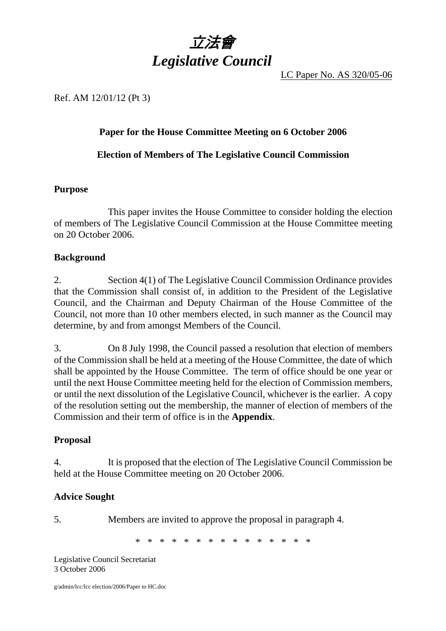

LC Paper No. AS 320/05-06

### Ref. AM 12/01/12 (Pt 3)

### **Paper for the House Committee Meeting on 6 October 2006**

**Election of Members of The Legislative Council Commission** 

### **Purpose**

 This paper invites the House Committee to consider holding the election of members of The Legislative Council Commission at the House Committee meeting on 20 October 2006.

### **Background**

2. Section 4(1) of The Legislative Council Commission Ordinance provides that the Commission shall consist of, in addition to the President of the Legislative Council, and the Chairman and Deputy Chairman of the House Committee of the Council, not more than 10 other members elected, in such manner as the Council may determine, by and from amongst Members of the Council.

3. On 8 July 1998, the Council passed a resolution that election of members of the Commission shall be held at a meeting of the House Committee, the date of which shall be appointed by the House Committee. The term of office should be one year or until the next House Committee meeting held for the election of Commission members, or until the next dissolution of the Legislative Council, whichever is the earlier. A copy of the resolution setting out the membership, the manner of election of members of the Commission and their term of office is in the **Appendix**.

### **Proposal**

4. It is proposed that the election of The Legislative Council Commission be held at the House Committee meeting on 20 October 2006.

### **Advice Sought**

5. Members are invited to approve the proposal in paragraph 4.

\* \* \* \* \* \* \* \* \* \* \* \* \* \* \*

Legislative Council Secretariat 3 October 2006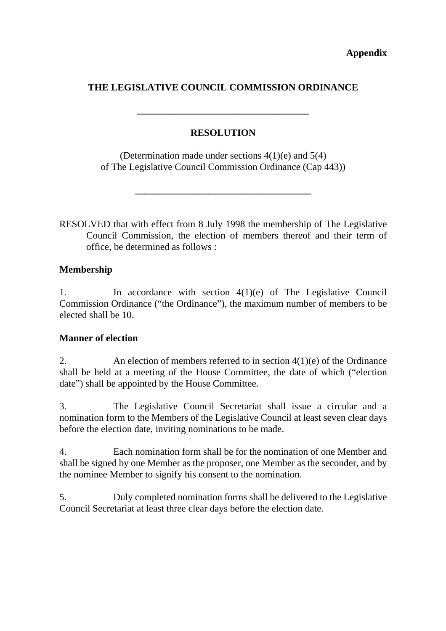# **THE LEGISLATIVE COUNCIL COMMISSION ORDINANCE**

## **RESOLUTION**

**\_\_\_\_\_\_\_\_\_\_\_\_\_\_\_\_\_\_\_\_\_\_\_\_\_\_\_\_\_\_\_\_\_\_\_** 

(Determination made under sections 4(1)(e) and 5(4) of The Legislative Council Commission Ordinance (Cap 443))

**\_\_\_\_\_\_\_\_\_\_\_\_\_\_\_\_\_\_\_\_\_\_\_\_\_\_\_\_\_\_\_\_\_\_\_\_** 

RESOLVED that with effect from 8 July 1998 the membership of The Legislative Council Commission, the election of members thereof and their term of office, be determined as follows :

## **Membership**

1. In accordance with section 4(1)(e) of The Legislative Council Commission Ordinance ("the Ordinance"), the maximum number of members to be elected shall be 10.

## **Manner of election**

2. An election of members referred to in section  $4(1)(e)$  of the Ordinance shall be held at a meeting of the House Committee, the date of which ("election date") shall be appointed by the House Committee.

3. The Legislative Council Secretariat shall issue a circular and a nomination form to the Members of the Legislative Council at least seven clear days before the election date, inviting nominations to be made.

4. Each nomination form shall be for the nomination of one Member and shall be signed by one Member as the proposer, one Member as the seconder, and by the nominee Member to signify his consent to the nomination.

5. Duly completed nomination forms shall be delivered to the Legislative Council Secretariat at least three clear days before the election date.